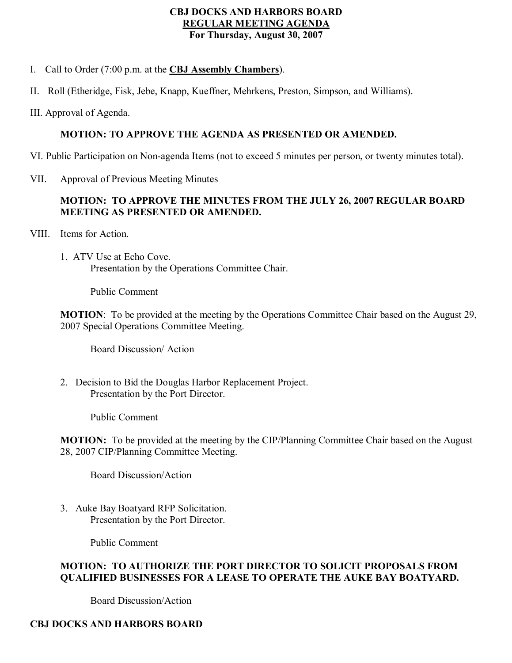#### **CBJ DOCKS AND HARBORS BOARD REGULAR MEETING AGENDA For Thursday, August 30, 2007**

- I. Call to Order (7:00 p.m. at the **CBJ Assembly Chambers**).
- II. Roll (Etheridge, Fisk, Jebe, Knapp, Kueffner, Mehrkens, Preston, Simpson, and Williams).
- III. Approval of Agenda.

## **MOTION: TO APPROVE THE AGENDA AS PRESENTED OR AMENDED.**

- VI. Public Participation on Non-agenda Items (not to exceed 5 minutes per person, or twenty minutes total).
- VII. Approval of Previous Meeting Minutes

# **MOTION: TO APPROVE THE MINUTES FROM THE JULY 26, 2007 REGULAR BOARD MEETING AS PRESENTED OR AMENDED.**

- VIII. Items for Action.
	- 1. ATV Use at Echo Cove. Presentation by the Operations Committee Chair.

Public Comment

**MOTION**: To be provided at the meeting by the Operations Committee Chair based on the August 29, 2007 Special Operations Committee Meeting.

Board Discussion/ Action

2. Decision to Bid the Douglas Harbor Replacement Project. Presentation by the Port Director.

Public Comment

**MOTION:** To be provided at the meeting by the CIP/Planning Committee Chair based on the August 28, 2007 CIP/Planning Committee Meeting.

Board Discussion/Action

3. Auke Bay Boatyard RFP Solicitation. Presentation by the Port Director.

Public Comment

# **MOTION: TO AUTHORIZE THE PORT DIRECTOR TO SOLICIT PROPOSALS FROM QUALIFIED BUSINESSES FOR A LEASE TO OPERATE THE AUKE BAY BOATYARD.**

Board Discussion/Action

# **CBJ DOCKS AND HARBORS BOARD**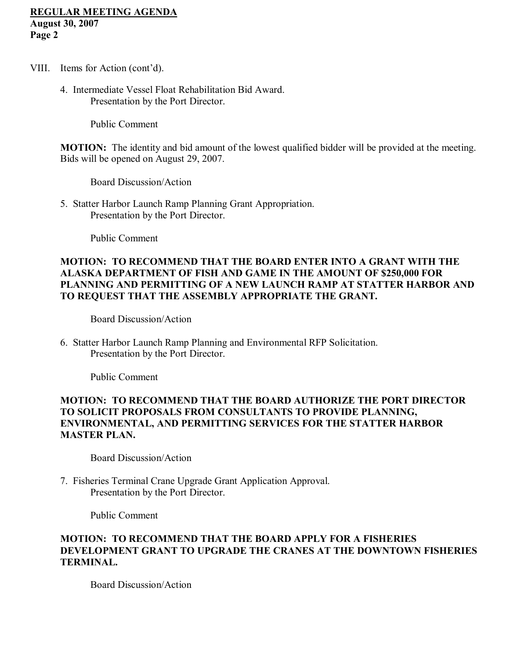## **REGULAR MEETING AGENDA August 30, 2007 Page 2**

- VIII. Items for Action (cont'd).
	- 4. Intermediate Vessel Float Rehabilitation Bid Award. Presentation by the Port Director.

Public Comment

**MOTION:** The identity and bid amount of the lowest qualified bidder will be provided at the meeting. Bids will be opened on August 29, 2007.

Board Discussion/Action

5. Statter Harbor Launch Ramp Planning Grant Appropriation. Presentation by the Port Director.

Public Comment

#### **MOTION: TO RECOMMEND THAT THE BOARD ENTER INTO A GRANT WITH THE ALASKA DEPARTMENT OF FISH AND GAME IN THE AMOUNT OF \$250,000 FOR PLANNING AND PERMITTING OF A NEW LAUNCH RAMP AT STATTER HARBOR AND TO REQUEST THAT THE ASSEMBLY APPROPRIATE THE GRANT.**

Board Discussion/Action

6. Statter Harbor Launch Ramp Planning and Environmental RFP Solicitation. Presentation by the Port Director.

Public Comment

## **MOTION: TO RECOMMEND THAT THE BOARD AUTHORIZE THE PORT DIRECTOR TO SOLICIT PROPOSALS FROM CONSULTANTS TO PROVIDE PLANNING, ENVIRONMENTAL, AND PERMITTING SERVICES FOR THE STATTER HARBOR MASTER PLAN.**

Board Discussion/Action

7. Fisheries Terminal Crane Upgrade Grant Application Approval. Presentation by the Port Director.

Public Comment

## **MOTION: TO RECOMMEND THAT THE BOARD APPLY FOR A FISHERIES DEVELOPMENT GRANT TO UPGRADE THE CRANES AT THE DOWNTOWN FISHERIES TERMINAL.**

Board Discussion/Action